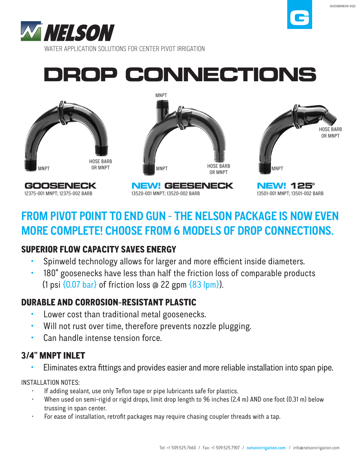

# **DROP CONNECTIONS**



## **FROM PIVOT POINT TO END GUN - THE NELSON PACKAGE IS NOW EVEN MORE COMPLETE! CHOOSE FROM 6 MODELS OF DROP CONNECTIONS.**

#### SUPERIOR FLOW CAPACITY SAVES ENERGY

- Spinweld technology allows for larger and more efficient inside diameters.
- 180° goosenecks have less than half the friction loss of comparable products (1 psi  $\{0.07 \text{ bar}\}\$  of friction loss @ 22 gpm  $\{83 \text{ lpm}\}\$ ).

#### DURABLE AND CORROSION-RESISTANT PLASTIC

- Lower cost than traditional metal goosenecks.
- Will not rust over time, therefore prevents nozzle plugging.
- Can handle intense tension force.

### 3/4" MNPT INLET

Eliminates extra fittings and provides easier and more reliable installation into span pipe.

#### INSTALLATION NOTES:

- If adding sealant, use only Teflon tape or pipe lubricants safe for plastics.
- When used on semi-rigid or rigid drops, limit drop length to 96 inches (2.4 m) AND one foot (0.31 m) below trussing in span center.
- For ease of installation, retrofit packages may require chasing coupler threads with a tap.